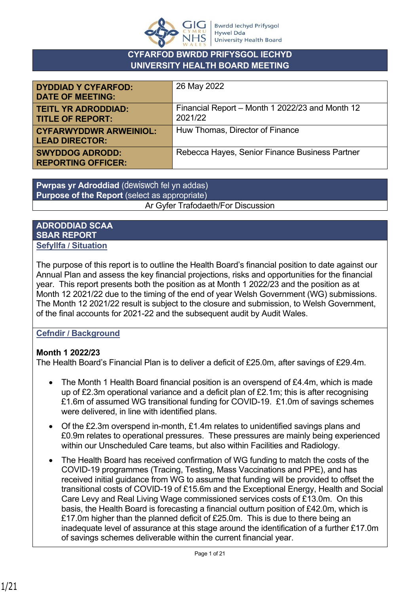

### **CYFARFOD BWRDD PRIFYSGOL IECHYD UNIVERSITY HEALTH BOARD MEETING**

| <b>DYDDIAD Y CYFARFOD:</b><br><b>DATE OF MEETING:</b>  | 26 May 2022                                                |
|--------------------------------------------------------|------------------------------------------------------------|
| <b>TEITL YR ADRODDIAD:</b><br><b>TITLE OF REPORT:</b>  | Financial Report - Month 1 2022/23 and Month 12<br>2021/22 |
| <b>CYFARWYDDWR ARWEINIOL:</b><br><b>LEAD DIRECTOR:</b> | Huw Thomas, Director of Finance                            |
| <b>SWYDDOG ADRODD:</b><br><b>REPORTING OFFICER:</b>    | Rebecca Hayes, Senior Finance Business Partner             |

**Pwrpas yr Adroddiad** (dewiswch fel yn addas) **Purpose of the Report** (select as appropriate) Ar Gyfer Trafodaeth/For Discussion

#### **ADRODDIAD SCAA SBAR REPORT Sefyllfa / Situation**

The purpose of this report is to outline the Health Board's financial position to date against our Annual Plan and assess the key financial projections, risks and opportunities for the financial year. This report presents both the position as at Month 1 2022/23 and the position as at Month 12 2021/22 due to the timing of the end of year Welsh Government (WG) submissions. The Month 12 2021/22 result is subject to the closure and submission, to Welsh Government, of the final accounts for 2021-22 and the subsequent audit by Audit Wales.

### **Cefndir / Background**

### **Month 1 2022/23**

The Health Board's Financial Plan is to deliver a deficit of £25.0m, after savings of £29.4m.

- The Month 1 Health Board financial position is an overspend of £4.4m, which is made up of £2.3m operational variance and a deficit plan of £2.1m; this is after recognising £1.6m of assumed WG transitional funding for COVID-19. £1.0m of savings schemes were delivered, in line with identified plans.
- Of the £2.3m overspend in-month, £1.4m relates to unidentified savings plans and £0.9m relates to operational pressures. These pressures are mainly being experienced within our Unscheduled Care teams, but also within Facilities and Radiology.
- The Health Board has received confirmation of WG funding to match the costs of the COVID-19 programmes (Tracing, Testing, Mass Vaccinations and PPE), and has received initial guidance from WG to assume that funding will be provided to offset the transitional costs of COVID-19 of £15.6m and the Exceptional Energy, Health and Social Care Levy and Real Living Wage commissioned services costs of £13.0m. On this basis, the Health Board is forecasting a financial outturn position of £42.0m, which is £17.0m higher than the planned deficit of £25.0m. This is due to there being an inadequate level of assurance at this stage around the identification of a further £17.0m of savings schemes deliverable within the current financial year.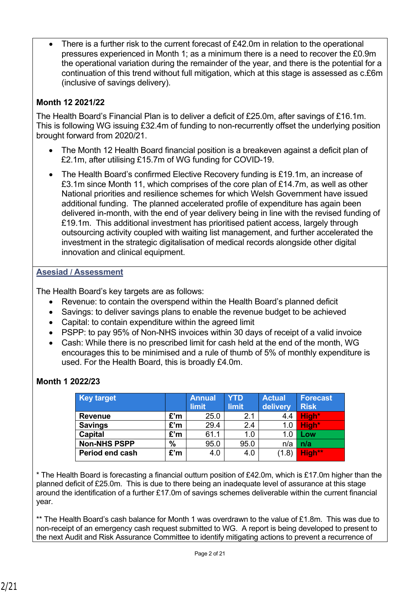There is a further risk to the current forecast of £42.0m in relation to the operational pressures experienced in Month 1; as a minimum there is a need to recover the £0.9m the operational variation during the remainder of the year, and there is the potential for a continuation of this trend without full mitigation, which at this stage is assessed as c.£6m (inclusive of savings delivery).

### **Month 12 2021/22**

The Health Board's Financial Plan is to deliver a deficit of £25.0m, after savings of £16.1m. This is following WG issuing £32.4m of funding to non-recurrently offset the underlying position brought forward from 2020/21.

- The Month 12 Health Board financial position is a breakeven against a deficit plan of £2.1m, after utilising £15.7m of WG funding for COVID-19.
- The Health Board's confirmed Elective Recovery funding is £19.1m, an increase of £3.1m since Month 11, which comprises of the core plan of £14.7m, as well as other National priorities and resilience schemes for which Welsh Government have issued additional funding. The planned accelerated profile of expenditure has again been delivered in-month, with the end of year delivery being in line with the revised funding of £19.1m. This additional investment has prioritised patient access, largely through outsourcing activity coupled with waiting list management, and further accelerated the investment in the strategic digitalisation of medical records alongside other digital innovation and clinical equipment.

#### **Asesiad / Assessment**

The Health Board's key targets are as follows:

- Revenue: to contain the overspend within the Health Board's planned deficit
- Savings: to deliver savings plans to enable the revenue budget to be achieved
- Capital: to contain expenditure within the agreed limit
- PSPP: to pay 95% of Non-NHS invoices within 30 days of receipt of a valid invoice
- Cash: While there is no prescribed limit for cash held at the end of the month, WG encourages this to be minimised and a rule of thumb of 5% of monthly expenditure is used. For the Health Board, this is broadly £4.0m.

| <b>Key target</b>   |      | <b>Annual</b> | <b>YTD</b>   | <b>Actual</b> | <b>Forecast</b> |
|---------------------|------|---------------|--------------|---------------|-----------------|
|                     |      | limit         | <b>limit</b> | delivery      | <b>Risk</b>     |
| <b>Revenue</b>      | £'m  | 25.0          | 2.1          | 4.4           | High*           |
| <b>Savings</b>      | £'m  | 29.4          | 2.4          | 1.0           | High*           |
| <b>Capital</b>      | £'m  | 61.1          | 1.0          | 1.0           | Low             |
| <b>Non-NHS PSPP</b> | $\%$ | 95.0          | 95.0         | n/a           | n/a             |
| Period end cash     | £'m  | 4.0           | 4.0          | (1.8)         | High**          |

### **Month 1 2022/23**

\* The Health Board is forecasting a financial outturn position of £42.0m, which is £17.0m higher than the planned deficit of £25.0m. This is due to there being an inadequate level of assurance at this stage around the identification of a further £17.0m of savings schemes deliverable within the current financial year.

\*\* The Health Board's cash balance for Month 1 was overdrawn to the value of £1.8m. This was due to non-receipt of an emergency cash request submitted to WG. A report is being developed to present to the next Audit and Risk Assurance Committee to identify mitigating actions to prevent a recurrence of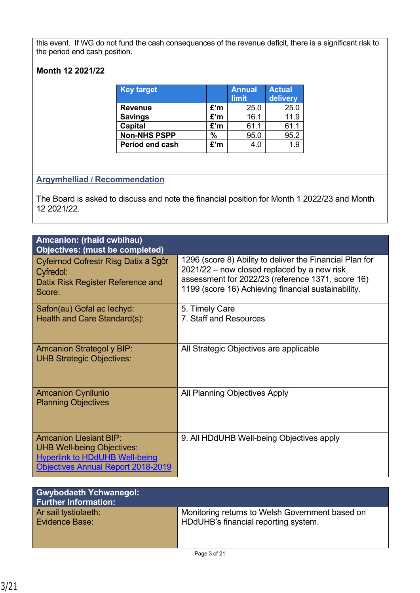this event. If WG do not fund the cash consequences of the revenue deficit, there is a significant risk to the period end cash position.

### **Month 12 2021/22**

| <b>Key target</b>   |     | <b>Annual</b><br>limit | <b>Actual</b><br>delivery |
|---------------------|-----|------------------------|---------------------------|
| <b>Revenue</b>      | £'m | 25.0                   | 25.0                      |
| <b>Savings</b>      | £'m | 16.1                   | 11.9                      |
| <b>Capital</b>      | £'m | 61.1                   | 61.1                      |
| <b>Non-NHS PSPP</b> | %   | 95.0                   | 95.2                      |
| Period end cash     | £'m | 4.0                    | 1.9                       |

### **Argymhelliad / Recommendation**

The Board is asked to discuss and note the financial position for Month 1 2022/23 and Month 12 2021/22.

| Amcanion: (rhaid cwblhau)<br>Objectives: (must be completed)                                                                                      |                                                                                                                                                                                                                     |
|---------------------------------------------------------------------------------------------------------------------------------------------------|---------------------------------------------------------------------------------------------------------------------------------------------------------------------------------------------------------------------|
| Cyfeirnod Cofrestr Risg Datix a Sgôr<br>Cyfredol:<br>Datix Risk Register Reference and<br>Score:                                                  | 1296 (score 8) Ability to deliver the Financial Plan for<br>2021/22 – now closed replaced by a new risk<br>assessment for 2022/23 (reference 1371, score 16)<br>1199 (score 16) Achieving financial sustainability. |
| Safon(au) Gofal ac lechyd:<br>Health and Care Standard(s):                                                                                        | 5. Timely Care<br>7. Staff and Resources                                                                                                                                                                            |
| <b>Amcanion Strategol y BIP:</b><br><b>UHB Strategic Objectives:</b>                                                                              | All Strategic Objectives are applicable                                                                                                                                                                             |
| <b>Amcanion Cynllunio</b><br><b>Planning Objectives</b>                                                                                           | All Planning Objectives Apply                                                                                                                                                                                       |
| <b>Amcanion Llesiant BIP:</b><br><b>UHB Well-being Objectives:</b><br><b>Hyperlink to HDdUHB Well-being</b><br>Objectives Annual Report 2018-2019 | 9. All HDdUHB Well-being Objectives apply                                                                                                                                                                           |

| <b>Gwybodaeth Ychwanegol:</b><br><b>Further Information:</b> |                                                 |
|--------------------------------------------------------------|-------------------------------------------------|
| Ar sail tystiolaeth:                                         | Monitoring returns to Welsh Government based on |
| <b>Evidence Base:</b>                                        | HDdUHB's financial reporting system.            |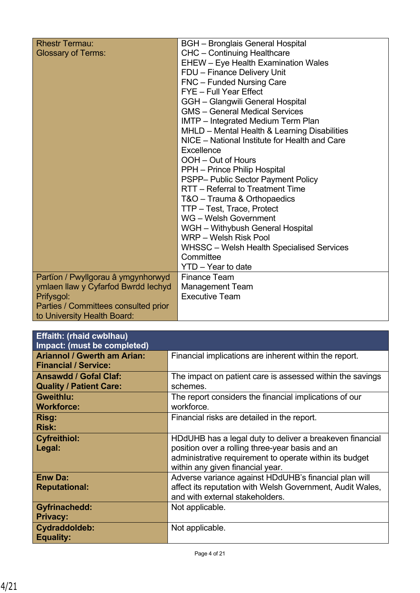| <b>Rhestr Termau:</b>                | <b>BGH</b> - Bronglais General Hospital          |
|--------------------------------------|--------------------------------------------------|
| <b>Glossary of Terms:</b>            | <b>CHC</b> - Continuing Healthcare               |
|                                      | <b>EHEW</b> - Eye Health Examination Wales       |
|                                      | FDU - Finance Delivery Unit                      |
|                                      | FNC - Funded Nursing Care                        |
|                                      | FYE - Full Year Effect                           |
|                                      | GGH - Glangwili General Hospital                 |
|                                      | <b>GMS</b> – General Medical Services            |
|                                      | IMTP - Integrated Medium Term Plan               |
|                                      | MHLD - Mental Health & Learning Disabilities     |
|                                      | NICE - National Institute for Health and Care    |
|                                      | Excellence                                       |
|                                      | OOH - Out of Hours                               |
|                                      | PPH - Prince Philip Hospital                     |
|                                      | PSPP- Public Sector Payment Policy               |
|                                      | RTT - Referral to Treatment Time                 |
|                                      | T&O - Trauma & Orthopaedics                      |
|                                      | TTP - Test, Trace, Protect                       |
|                                      | WG - Welsh Government                            |
|                                      | WGH - Withybush General Hospital                 |
|                                      | WRP - Welsh Risk Pool                            |
|                                      | <b>WHSSC</b> – Welsh Health Specialised Services |
|                                      | Committee                                        |
|                                      | YTD - Year to date                               |
| Partïon / Pwyllgorau â ymgynhorwyd   | <b>Finance Team</b>                              |
| ymlaen llaw y Cyfarfod Bwrdd Iechyd  | <b>Management Team</b>                           |
| Prifysgol:                           | <b>Executive Team</b>                            |
| Parties / Committees consulted prior |                                                  |
| to University Health Board:          |                                                  |

| <b>Effaith: (rhaid cwblhau)</b><br>Impact: (must be completed)    |                                                                                                                                                                                                            |
|-------------------------------------------------------------------|------------------------------------------------------------------------------------------------------------------------------------------------------------------------------------------------------------|
| <b>Ariannol / Gwerth am Arian:</b><br><b>Financial / Service:</b> | Financial implications are inherent within the report.                                                                                                                                                     |
| <b>Ansawdd / Gofal Claf:</b><br><b>Quality / Patient Care:</b>    | The impact on patient care is assessed within the savings<br>schemes.                                                                                                                                      |
| Gweithlu:<br><b>Workforce:</b>                                    | The report considers the financial implications of our<br>workforce.                                                                                                                                       |
| Risg:<br><b>Risk:</b>                                             | Financial risks are detailed in the report.                                                                                                                                                                |
| <b>Cyfreithiol:</b><br>Legal:                                     | HDdUHB has a legal duty to deliver a breakeven financial<br>position over a rolling three-year basis and an<br>administrative requirement to operate within its budget<br>within any given financial year. |
| <b>Enw Da:</b><br><b>Reputational:</b>                            | Adverse variance against HDdUHB's financial plan will<br>affect its reputation with Welsh Government, Audit Wales,<br>and with external stakeholders.                                                      |
| <b>Gyfrinachedd:</b><br><b>Privacy:</b>                           | Not applicable.                                                                                                                                                                                            |
| Cydraddoldeb:<br>Equality:                                        | Not applicable.                                                                                                                                                                                            |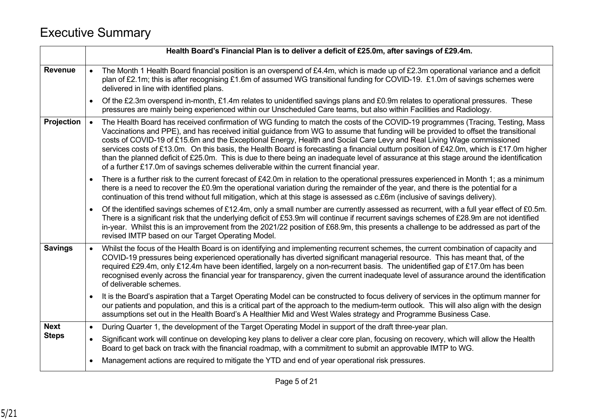# Executive Summary

|                   | Health Board's Financial Plan is to deliver a deficit of £25.0m, after savings of £29.4m.                                                                                                                                                                                                                                                                                                                                                                                                                                                                                                                                                                                                                                                                                     |
|-------------------|-------------------------------------------------------------------------------------------------------------------------------------------------------------------------------------------------------------------------------------------------------------------------------------------------------------------------------------------------------------------------------------------------------------------------------------------------------------------------------------------------------------------------------------------------------------------------------------------------------------------------------------------------------------------------------------------------------------------------------------------------------------------------------|
| <b>Revenue</b>    | The Month 1 Health Board financial position is an overspend of £4.4m, which is made up of £2.3m operational variance and a deficit<br>plan of £2.1m; this is after recognising £1.6m of assumed WG transitional funding for COVID-19. £1.0m of savings schemes were<br>delivered in line with identified plans.                                                                                                                                                                                                                                                                                                                                                                                                                                                               |
|                   | Of the £2.3m overspend in-month, £1.4m relates to unidentified savings plans and £0.9m relates to operational pressures. These<br>$\bullet$<br>pressures are mainly being experienced within our Unscheduled Care teams, but also within Facilities and Radiology.                                                                                                                                                                                                                                                                                                                                                                                                                                                                                                            |
| <b>Projection</b> | The Health Board has received confirmation of WG funding to match the costs of the COVID-19 programmes (Tracing, Testing, Mass<br>Vaccinations and PPE), and has received initial guidance from WG to assume that funding will be provided to offset the transitional<br>costs of COVID-19 of £15.6m and the Exceptional Energy, Health and Social Care Levy and Real Living Wage commissioned<br>services costs of £13.0m. On this basis, the Health Board is forecasting a financial outturn position of £42.0m, which is £17.0m higher<br>than the planned deficit of £25.0m. This is due to there being an inadequate level of assurance at this stage around the identification<br>of a further £17.0m of savings schemes deliverable within the current financial year. |
|                   | There is a further risk to the current forecast of £42.0m in relation to the operational pressures experienced in Month 1; as a minimum<br>there is a need to recover the £0.9m the operational variation during the remainder of the year, and there is the potential for a<br>continuation of this trend without full mitigation, which at this stage is assessed as c.£6m (inclusive of savings delivery).                                                                                                                                                                                                                                                                                                                                                                 |
|                   | Of the identified savings schemes of £12.4m, only a small number are currently assessed as recurrent, with a full year effect of £0.5m.<br>$\bullet$<br>There is a significant risk that the underlying deficit of £53.9m will continue if recurrent savings schemes of £28.9m are not identified<br>in-year. Whilst this is an improvement from the 2021/22 position of £68.9m, this presents a challenge to be addressed as part of the<br>revised IMTP based on our Target Operating Model.                                                                                                                                                                                                                                                                                |
| <b>Savings</b>    | Whilst the focus of the Health Board is on identifying and implementing recurrent schemes, the current combination of capacity and<br>COVID-19 pressures being experienced operationally has diverted significant managerial resource. This has meant that, of the<br>required £29.4m, only £12.4m have been identified, largely on a non-recurrent basis. The unidentified gap of £17.0m has been<br>recognised evenly across the financial year for transparency, given the current inadequate level of assurance around the identification<br>of deliverable schemes.                                                                                                                                                                                                      |
|                   | It is the Board's aspiration that a Target Operating Model can be constructed to focus delivery of services in the optimum manner for<br>our patients and population, and this is a critical part of the approach to the medium-term outlook. This will also align with the design<br>assumptions set out in the Health Board's A Healthier Mid and West Wales strategy and Programme Business Case.                                                                                                                                                                                                                                                                                                                                                                          |
| <b>Next</b>       | During Quarter 1, the development of the Target Operating Model in support of the draft three-year plan.<br>$\bullet$                                                                                                                                                                                                                                                                                                                                                                                                                                                                                                                                                                                                                                                         |
| <b>Steps</b>      | Significant work will continue on developing key plans to deliver a clear core plan, focusing on recovery, which will allow the Health<br>$\bullet$<br>Board to get back on track with the financial roadmap, with a commitment to submit an approvable IMTP to WG.                                                                                                                                                                                                                                                                                                                                                                                                                                                                                                           |
|                   | Management actions are required to mitigate the YTD and end of year operational risk pressures.                                                                                                                                                                                                                                                                                                                                                                                                                                                                                                                                                                                                                                                                               |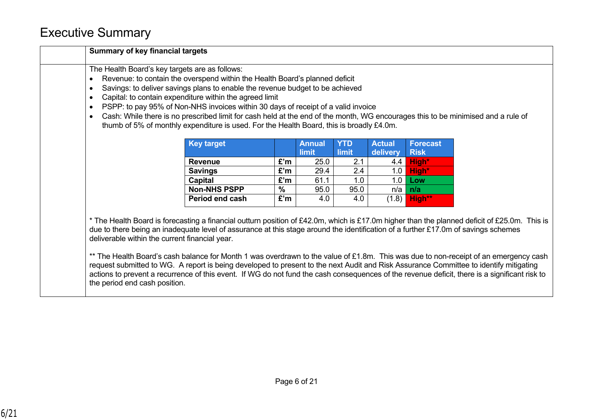# Executive Summary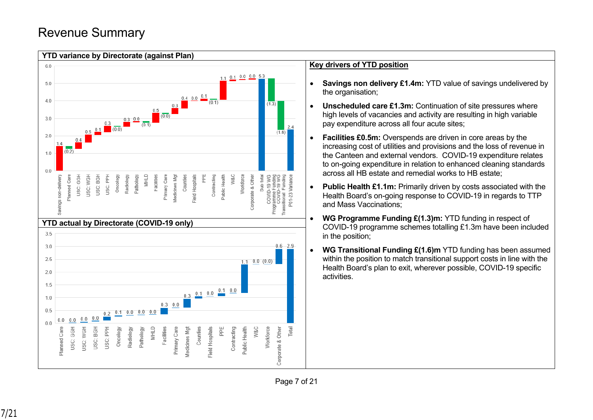# Revenue Summary

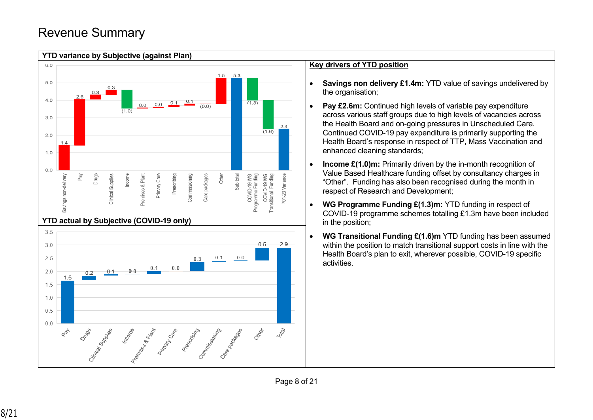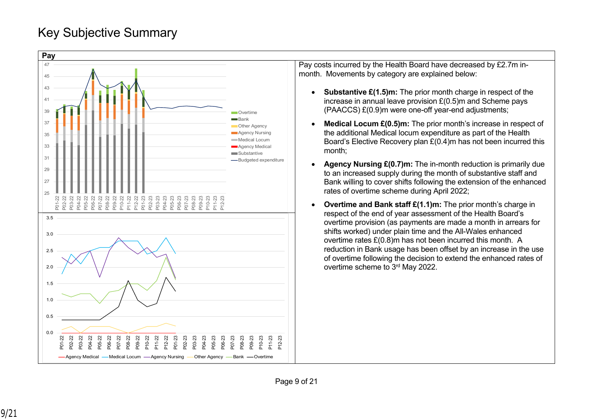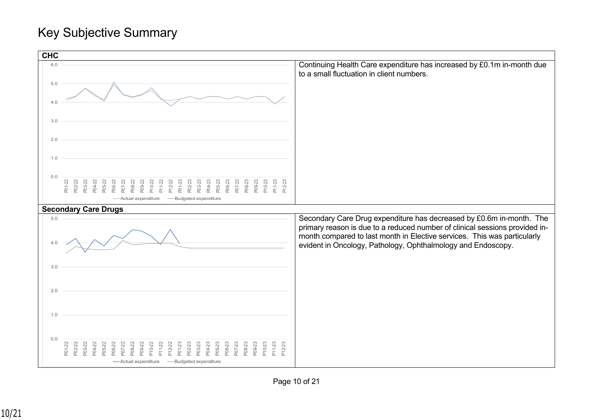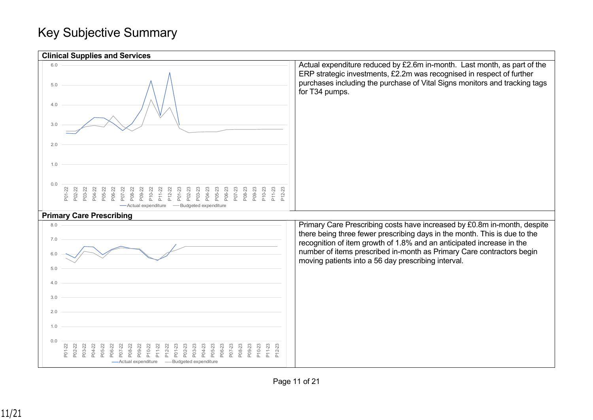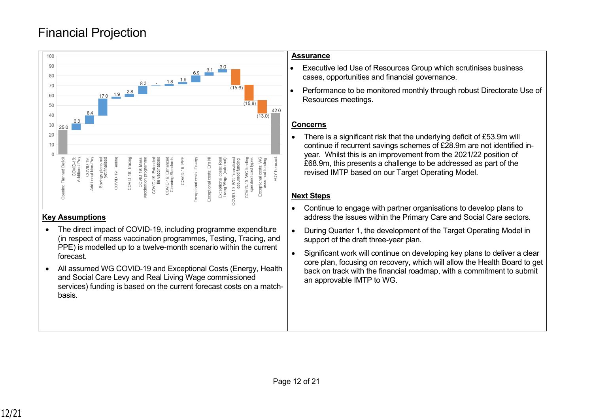# Financial Projection



#### **Key Assumptions**

- The direct impact of COVID-19, including programme expenditure (in respect of mass vaccination programmes, Testing, Tracing, and PPE) is modelled up to a twelve-month scenario within the current forecast.
- All assumed WG COVID-19 and Exceptional Costs (Energy, Health and Social Care Levy and Real Living Wage commissioned services) funding is based on the current forecast costs on a matchbasis.

#### **Assurance**

- Executive led Use of Resources Group which scrutinises business cases, opportunities and financial governance.
- Performance to be monitored monthly through robust Directorate Use of Resources meetings.

### **Concerns**

• There is a significant risk that the underlying deficit of £53.9m will continue if recurrent savings schemes of £28.9m are not identified inyear. Whilst this is an improvement from the 2021/22 position of £68.9m, this presents a challenge to be addressed as part of the revised IMTP based on our Target Operating Model.

### **Next Steps**

- Continue to engage with partner organisations to develop plans to address the issues within the Primary Care and Social Care sectors.
- During Quarter 1, the development of the Target Operating Model in support of the draft three-year plan.
- Significant work will continue on developing key plans to deliver a clear core plan, focusing on recovery, which will allow the Health Board to get back on track with the financial roadmap, with a commitment to submit an approvable IMTP to WG.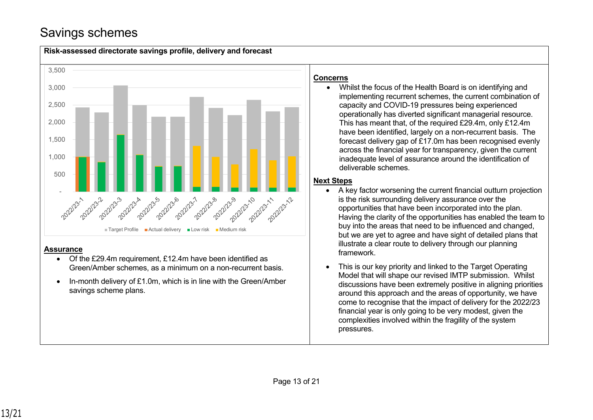# Savings schemes

savings scheme plans.



• In-month delivery of £1.0m, which is in line with the Green/Amber

This is our key priority and linked to the Target Operating Model that will shape our revised IMTP submission. Whilst discussions have been extremely positive in aligning priorities around this approach and the areas of opportunity, we have come to recognise that the impact of delivery for the 2022/23 financial year is only going to be very modest, given the complexities involved within the fragility of the system pressures.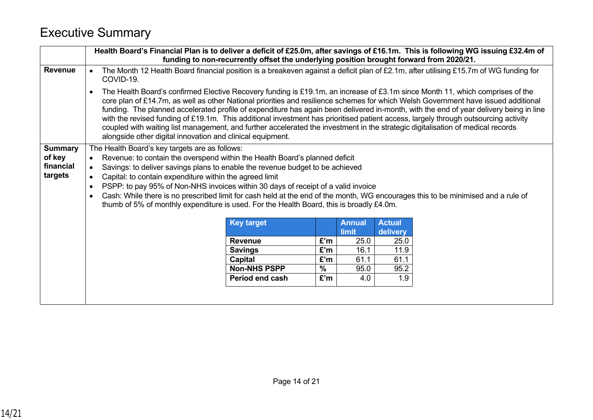# Executive Summary

|                                                  | Health Board's Financial Plan is to deliver a deficit of £25.0m, after savings of £16.1m. This is following WG issuing £32.4m of<br>funding to non-recurrently offset the underlying position brought forward from 2020/21.                                                                                                                                                                                                                                                                                                                                                                                                                                                                                                                                        |                                |                      |                        |                           |  |  |
|--------------------------------------------------|--------------------------------------------------------------------------------------------------------------------------------------------------------------------------------------------------------------------------------------------------------------------------------------------------------------------------------------------------------------------------------------------------------------------------------------------------------------------------------------------------------------------------------------------------------------------------------------------------------------------------------------------------------------------------------------------------------------------------------------------------------------------|--------------------------------|----------------------|------------------------|---------------------------|--|--|
| <b>Revenue</b>                                   | The Month 12 Health Board financial position is a breakeven against a deficit plan of £2.1m, after utilising £15.7m of WG funding for<br>COVID-19.                                                                                                                                                                                                                                                                                                                                                                                                                                                                                                                                                                                                                 |                                |                      |                        |                           |  |  |
|                                                  | The Health Board's confirmed Elective Recovery funding is £19.1m, an increase of £3.1m since Month 11, which comprises of the<br>$\bullet$<br>core plan of £14.7m, as well as other National priorities and resilience schemes for which Welsh Government have issued additional<br>funding. The planned accelerated profile of expenditure has again been delivered in-month, with the end of year delivery being in line<br>with the revised funding of £19.1m. This additional investment has prioritised patient access, largely through outsourcing activity<br>coupled with waiting list management, and further accelerated the investment in the strategic digitalisation of medical records<br>alongside other digital innovation and clinical equipment. |                                |                      |                        |                           |  |  |
| <b>Summary</b><br>of key<br>financial<br>targets | The Health Board's key targets are as follows:<br>Revenue: to contain the overspend within the Health Board's planned deficit<br>$\bullet$<br>Savings: to deliver savings plans to enable the revenue budget to be achieved<br>$\bullet$<br>Capital: to contain expenditure within the agreed limit<br>PSPP: to pay 95% of Non-NHS invoices within 30 days of receipt of a valid invoice<br>$\bullet$<br>Cash: While there is no prescribed limit for cash held at the end of the month, WG encourages this to be minimised and a rule of<br>$\bullet$<br>thumb of 5% of monthly expenditure is used. For the Health Board, this is broadly £4.0m.                                                                                                                 |                                |                      |                        |                           |  |  |
|                                                  |                                                                                                                                                                                                                                                                                                                                                                                                                                                                                                                                                                                                                                                                                                                                                                    | <b>Key target</b>              |                      | <b>Annual</b><br>limit | <b>Actual</b><br>delivery |  |  |
|                                                  |                                                                                                                                                                                                                                                                                                                                                                                                                                                                                                                                                                                                                                                                                                                                                                    |                                |                      |                        |                           |  |  |
|                                                  | 25.0<br>25.0<br>£'m<br><b>Revenue</b>                                                                                                                                                                                                                                                                                                                                                                                                                                                                                                                                                                                                                                                                                                                              |                                |                      |                        |                           |  |  |
|                                                  | £'m<br>16.1<br><b>Savings</b><br>11.9                                                                                                                                                                                                                                                                                                                                                                                                                                                                                                                                                                                                                                                                                                                              |                                |                      |                        |                           |  |  |
|                                                  |                                                                                                                                                                                                                                                                                                                                                                                                                                                                                                                                                                                                                                                                                                                                                                    | Capital<br><b>Non-NHS PSPP</b> | £'m<br>$\frac{9}{6}$ | 61.1<br>95.0           | 61.1<br>95.2              |  |  |
|                                                  |                                                                                                                                                                                                                                                                                                                                                                                                                                                                                                                                                                                                                                                                                                                                                                    | Period end cash                | £'m                  | 4.0                    | 1.9                       |  |  |
|                                                  |                                                                                                                                                                                                                                                                                                                                                                                                                                                                                                                                                                                                                                                                                                                                                                    |                                |                      |                        |                           |  |  |
|                                                  |                                                                                                                                                                                                                                                                                                                                                                                                                                                                                                                                                                                                                                                                                                                                                                    |                                |                      |                        |                           |  |  |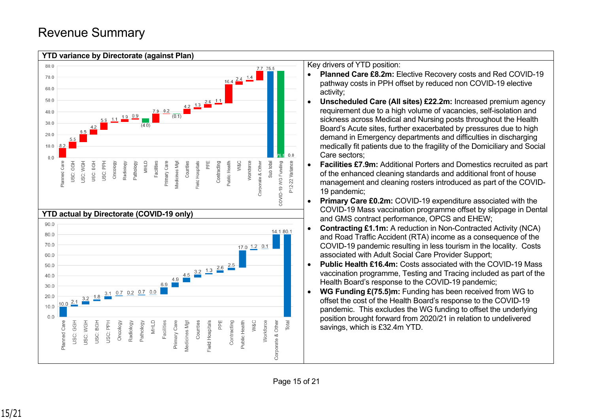# Revenue Summary



Key drivers of YTD position:

- **Planned Care £8.2m:** Elective Recovery costs and Red COVID-19 pathway costs in PPH offset by reduced non COVID-19 elective activity;
- **Unscheduled Care (All sites) £22.2m:** Increased premium agency requirement due to a high volume of vacancies, self-isolation and sickness across Medical and Nursing posts throughout the Health Board's Acute sites, further exacerbated by pressures due to high demand in Emergency departments and difficulties in discharging medically fit patients due to the fragility of the Domiciliary and Social Care sectors;
- **Facilities £7.9m:** Additional Porters and Domestics recruited as part of the enhanced cleaning standards and additional front of house management and cleaning rosters introduced as part of the COVID-19 pandemic;
- **Primary Care £0.2m:** COVID-19 expenditure associated with the COVID-19 Mass vaccination programme offset by slippage in Dental and GMS contract performance, OPCS and EHEW;
- **Contracting £1.1m:** A reduction in Non-Contracted Activity (NCA) and Road Traffic Accident (RTA) income as a consequence of the COVID-19 pandemic resulting in less tourism in the locality. Costs associated with Adult Social Care Provider Support;
- **Public Health £16.4m:** Costs associated with the COVID-19 Mass vaccination programme, Testing and Tracing included as part of the Health Board's response to the COVID-19 pandemic;
- **WG Funding £(75.5)m:** Funding has been received from WG to offset the cost of the Health Board's response to the COVID-19 pandemic. This excludes the WG funding to offset the underlying position brought forward from 2020/21 in relation to undelivered savings, which is £32.4m YTD.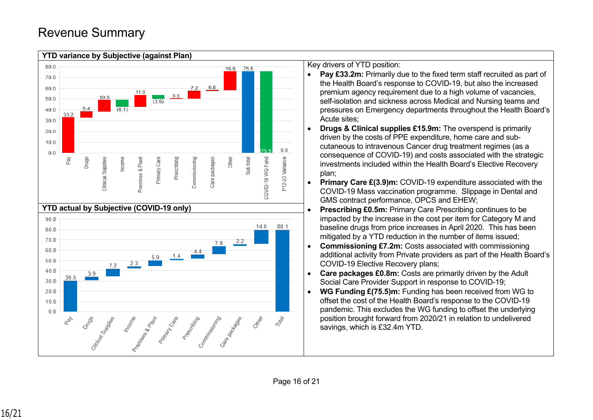

Key drivers of YTD position:

- **Pay £33.2m:** Primarily due to the fixed term staff recruited as part of the Health Board's response to COVID-19, but also the increased premium agency requirement due to a high volume of vacancies, self-isolation and sickness across Medical and Nursing teams and pressures on Emergency departments throughout the Health Board's Acute sites;
- **Drugs & Clinical supplies £15.9m:** The overspend is primarily driven by the costs of PPE expenditure, home care and subcutaneous to intravenous Cancer drug treatment regimes (as a consequence of COVID-19) and costs associated with the strategic investments included within the Health Board's Elective Recovery plan;
- **Primary Care £(3.9)m: COVID-19 expenditure associated with the** COVID-19 Mass vaccination programme. Slippage in Dental and GMS contract performance, OPCS and EHEW;
- **Prescribing £0.5m:** Primary Care Prescribing continues to be impacted by the increase in the cost per item for Category M and baseline drugs from price increases in April 2020. This has been mitigated by a YTD reduction in the number of items issued;
- **Commissioning £7.2m:** Costs associated with commissioning additional activity from Private providers as part of the Health Board's COVID-19 Elective Recovery plans;
- **Care packages £0.8m:** Costs are primarily driven by the Adult Social Care Provider Support in response to COVID-19;
- **WG Funding £(75.5)m:** Funding has been received from WG to offset the cost of the Health Board's response to the COVID-19 pandemic. This excludes the WG funding to offset the underlying position brought forward from 2020/21 in relation to undelivered savings, which is £32.4m YTD.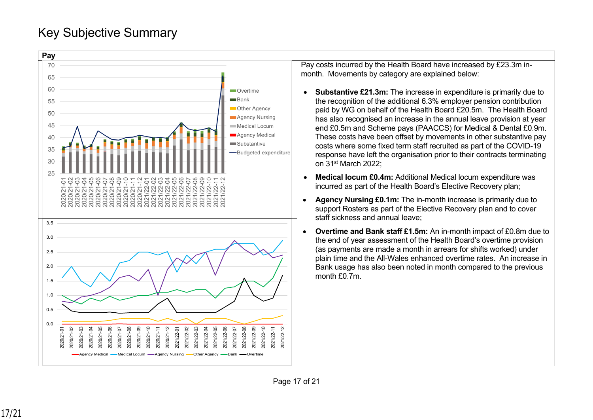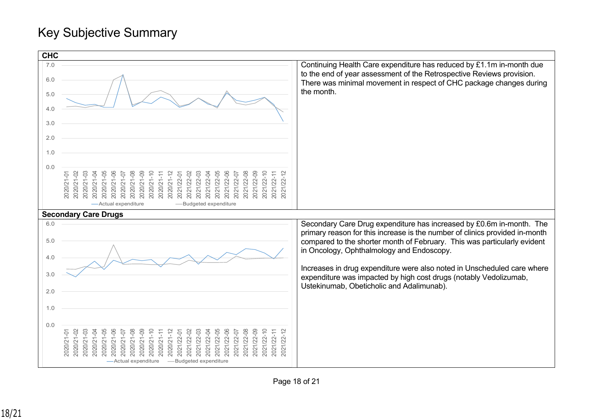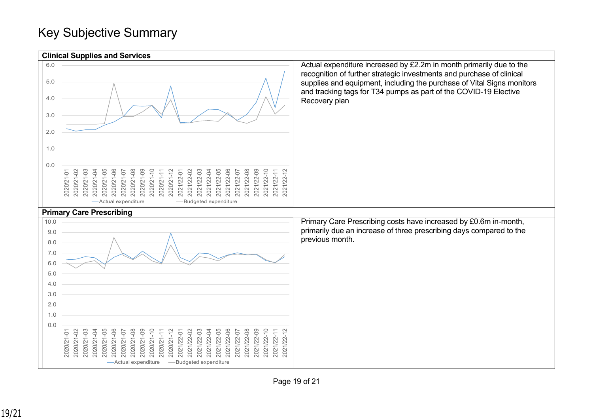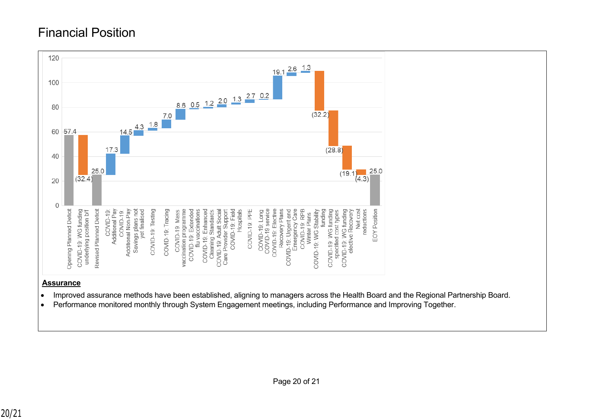# Financial Position